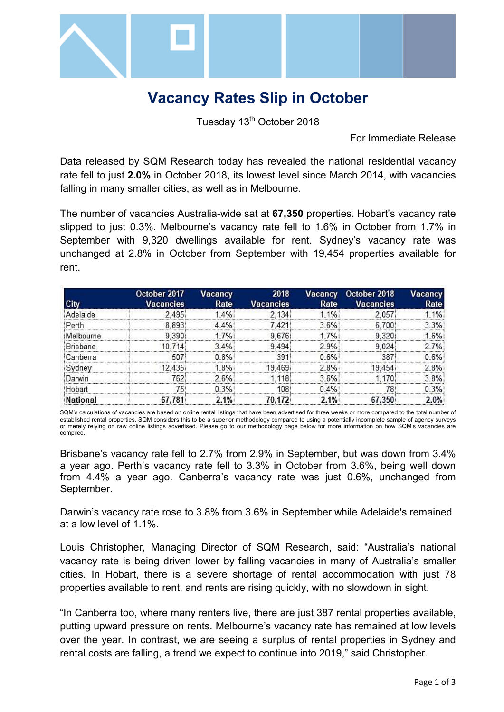

# **Vacancy Rates Slip in October**

Tuesday 13<sup>th</sup> October 2018

#### For Immediate Release

Data released by SQM Research today has revealed the national residential vacancy rate fell to just **2.0%** in October 2018, its lowest level since March 2014, with vacancies falling in many smaller cities, as well as in Melbourne.

The number of vacancies Australia-wide sat at **67,350** properties. Hobart's vacancy rate slipped to just 0.3%. Melbourne's vacancy rate fell to 1.6% in October from 1.7% in September with 9,320 dwellings available for rent. Sydney's vacancy rate was unchanged at 2.8% in October from September with 19,454 properties available for rent.

|                 | October 2017     | <b>Vacancy</b> | 2018             | Vacancy | October 2018     | Vacancy |
|-----------------|------------------|----------------|------------------|---------|------------------|---------|
| City            | <b>Vacancies</b> | Rate           | <b>Vacancies</b> | Rate    | <b>Vacancies</b> | Rate    |
| Adelaide        | 2.495            | 1.4%           | 2.134            | 11%     | 2.057            | 1 1%    |
| Perth           | 8.893            | 44%            | 7.421            | 3.6%    | 6.700            | 3.3%    |
| Melbourne       | 9.390            | 17%            | 9676             | 17%     | 9 320            | 16%     |
| Brisbane        | 10 714           | 34%            | 9494             | 2.9%    | 9.024            | 2.7%    |
| Canberra        | 507              | 0.8%           | 391              | 0.6%    | 387              | 0.6%    |
| Svdney          | 12.435           | 1.8%           | 19,469           | 2.8%    | 19 454           | 2.8%    |
| Darwin          | 762              | 2.6%           | 1 1 1 8          | 3.6%    | 170              | 3.8%    |
| Hobart          | 75.              | 0.3%           | 108              | 0.4%    | 78               | 0.3%    |
| <b>National</b> | .781<br>67       | 2.1%           | 70.172           | 21%     | 67,350           | 2.0%    |

SQM's calculations of vacancies are based on online rental listings that have been advertised for three weeks or more compared to the total number of established rental properties. SQM considers this to be a superior methodology compared to using a potentially incomplete sample of agency surveys or merely relying on raw online listings advertised. Please go to our methodology page below for more information on how SQM's vacancies are compiled.

Brisbane's vacancy rate fell to 2.7% from 2.9% in September, but was down from 3.4% a year ago. Perth's vacancy rate fell to 3.3% in October from 3.6%, being well down from 4.4% a year ago. Canberra's vacancy rate was just 0.6%, unchanged from September.

Darwin's vacancy rate rose to 3.8% from 3.6% in September while Adelaide's remained at a low level of 1.1%.

Louis Christopher, Managing Director of SQM Research, said: "Australia's national vacancy rate is being driven lower by falling vacancies in many of Australia's smaller cities. In Hobart, there is a severe shortage of rental accommodation with just 78 properties available to rent, and rents are rising quickly, with no slowdown in sight.

"In Canberra too, where many renters live, there are just 387 rental properties available, putting upward pressure on rents. Melbourne's vacancy rate has remained at low levels over the year. In contrast, we are seeing a surplus of rental properties in Sydney and rental costs are falling, a trend we expect to continue into 2019," said Christopher.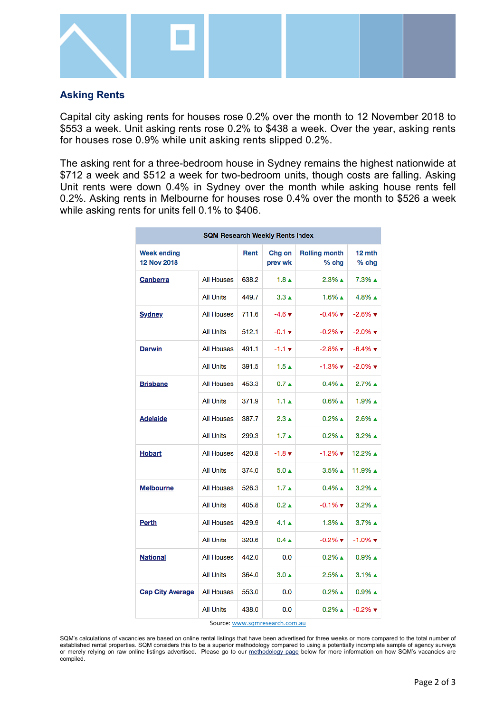

### **Asking Rents**

Capital city asking rents for houses rose 0.2% over the month to 12 November 2018 to \$553 a week. Unit asking rents rose 0.2% to \$438 a week. Over the year, asking rents for houses rose 0.9% while unit asking rents slipped 0.2%.

The asking rent for a three-bedroom house in Sydney remains the highest nationwide at \$712 a week and \$512 a week for two-bedroom units, though costs are falling. Asking Unit rents were down 0.4% in Sydney over the month while asking house rents fell 0.2%. Asking rents in Melbourne for houses rose 0.4% over the month to \$526 a week while asking rents for units fell 0.1% to \$406.

| <b>SQM Research Weekly Rents Index</b> |                   |       |                             |                                 |                               |  |  |  |  |
|----------------------------------------|-------------------|-------|-----------------------------|---------------------------------|-------------------------------|--|--|--|--|
| <b>Week ending</b><br>12 Nov 2018      |                   | Rent  | Chg on<br>prev wk           | <b>Rolling month</b><br>$%$ chg | 12 mth<br>$%$ chg             |  |  |  |  |
| Canberra                               | <b>All Houses</b> | 638.2 | 1.8 <sub>A</sub>            | $2.3\%$ $\triangle$             | $7.3\%$ $\triangle$           |  |  |  |  |
|                                        | All Units         | 449.7 | $3.3 \triangle$             | $1.6\%$ $\triangle$             | $4.8\%$ $\triangle$           |  |  |  |  |
| <b>Sydney</b>                          | <b>All Houses</b> | 711.6 | $-4.6$ $\blacktriangledown$ | $-0.4\%$ $\blacktriangledown$   | $-2.6\%$ $\blacktriangledown$ |  |  |  |  |
|                                        | <b>All Units</b>  | 512.1 | $-0.1 \times$               | $-0.2\%$ $\blacktriangledown$   | $-2.0\%$ $\blacktriangledown$ |  |  |  |  |
| Darwin                                 | <b>All Houses</b> | 491.1 | $-1.1 \times$               | $-2.8\%$ $\blacktriangledown$   | $-8.4\%$ $\blacktriangledown$ |  |  |  |  |
|                                        | <b>All Units</b>  | 391.5 | $1.5 \text{ A}$             | $-1.3\%$ $\blacktriangledown$   | $-2.0\%$ $\blacktriangledown$ |  |  |  |  |
| <b>Brisbane</b>                        | <b>All Houses</b> | 453.3 | 0.7A                        | $0.4\%$ $\triangle$             | $2.7%$ ▲                      |  |  |  |  |
|                                        | <b>All Units</b>  | 371.9 | $1.1 \text{ A}$             | $0.6\%$ $\triangle$             | $1.9\%$ $\triangle$           |  |  |  |  |
| <b>Adelaide</b>                        | <b>All Houses</b> | 387.7 | $2.3 \triangle$             | $0.2\%$ $\triangle$             | $2.6\%$ $\triangle$           |  |  |  |  |
|                                        | <b>All Units</b>  | 299.3 | 1.7 <sub>A</sub>            | $0.2\%$ $\triangle$             | $3.2\%$ $\triangle$           |  |  |  |  |
| <b>Hobart</b>                          | <b>All Houses</b> | 420.8 | $-1.8$ $\sqrt{ }$           | $-1.2\%$ $\blacktriangledown$   | 12.2% ▲                       |  |  |  |  |
|                                        | <b>All Units</b>  | 374.0 | $5.0 \triangle$             | $3.5\%$ $\triangle$             | 11.9% ▲                       |  |  |  |  |
| <b>Melbourne</b>                       | <b>All Houses</b> | 526.3 | 1.7 <sub>A</sub>            | $0.4\%$ $\triangle$             | $3.2\%$ $\triangle$           |  |  |  |  |
|                                        | <b>All Units</b>  | 405.8 | $0.2 \triangle$             | $-0.1\%$ $\blacktriangledown$   | $3.2\%$ $\triangle$           |  |  |  |  |
| Perth                                  | <b>All Houses</b> | 429.9 | $4.1 \triangle$             | $1.3\%$ $\triangle$             | 3.7% ▲                        |  |  |  |  |
|                                        | <b>All Units</b>  | 320.6 | $0.4 \triangle$             | $-0.2\%$ $\blacktriangledown$   | $-1.0\%$ $\blacktriangledown$ |  |  |  |  |
| <b>National</b>                        | <b>All Houses</b> | 442.0 | 0.0                         | $0.2\%$ $\triangle$             | $0.9\%$ $\triangle$           |  |  |  |  |
|                                        | <b>All Units</b>  | 364.0 | $3.0 \triangle$             | $2.5\%$ $\triangle$             | $3.1\%$ $\triangle$           |  |  |  |  |
| <b>Cap City Average</b>                | <b>All Houses</b> | 553.0 | 0.0                         | $0.2\%$ $\triangle$             | $0.9\%$ $\triangle$           |  |  |  |  |
|                                        | <b>All Units</b>  | 438.0 | 0.0                         | $0.2\%$ $\triangle$             | $-0.2\%$ $\blacktriangledown$ |  |  |  |  |

Source[: www.sqmresearch.com.au](http://www.sqmresearch.com.au/)

SQM's calculations of vacancies are based on online rental listings that have been advertised for three weeks or more compared to the total number of established rental properties. SQM considers this to be a superior methodology compared to using a potentially incomplete sample of agency surveys or merely relying on raw online listings advertised. Please go to our [methodology page](http://www.sqmresearch.com.au/graph_vacancy.php?region=nsw::Sydney&type=c&t=1#terms) below for more information on how SQM's vacancies are compiled.